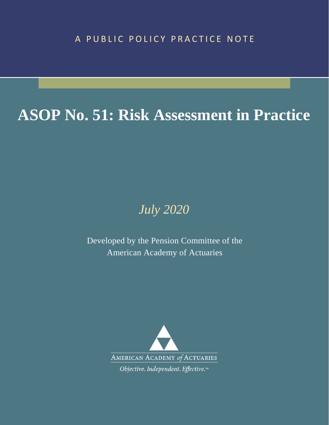# **ASOP No. 51: Risk Assessment in Practice**

## *July 2020*

Developed by the Pension Committee of the American Academy of Actuaries

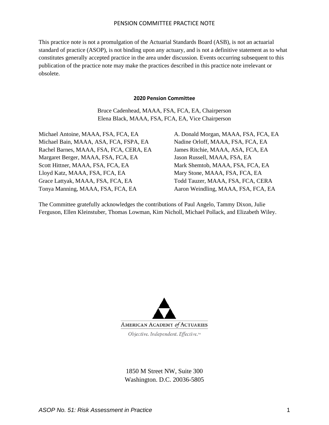This practice note is not a promulgation of the Actuarial Standards Board (ASB), is not an actuarial standard of practice (ASOP), is not binding upon any actuary, and is not a definitive statement as to what constitutes generally accepted practice in the area under discussion. Events occurring subsequent to this publication of the practice note may make the practices described in this practice note irrelevant or obsolete.

#### **2020 Pension Committee**

Bruce Cadenhead, MAAA, FSA, FCA, EA, Chairperson Elena Black, MAAA, FSA, FCA, EA, Vice Chairperson

Michael Antoine, MAAA, FSA, FCA, EA Michael Bain, MAAA, ASA, FCA, FSPA, EA Rachel Barnes, MAAA, FSA, FCA, CERA, EA Margaret Berger, MAAA, FSA, FCA, EA Scott Hittner, MAAA, FSA, FCA, EA Lloyd Katz, MAAA, FSA, FCA, EA Grace Lattyak, MAAA, FSA, FCA, EA Tonya Manning, MAAA, FSA, FCA, EA

A. Donald Morgan, MAAA, FSA, FCA, EA Nadine Orloff, MAAA, FSA, FCA, EA James Ritchie, MAAA, ASA, FCA, EA Jason Russell, MAAA, FSA, EA Mark Shemtob, MAAA, FSA, FCA, EA Mary Stone, MAAA, FSA, FCA, EA Todd Tauzer, MAAA, FSA, FCA, CERA Aaron Weindling, MAAA, FSA, FCA, EA

The Committee gratefully acknowledges the contributions of Paul Angelo, Tammy Dixon, Julie Ferguson, Ellen Kleinstuber, Thomas Lowman, Kim Nicholl, Michael Pollack, and Elizabeth Wiley.



1850 M Street NW, Suite 300 Washington. D.C. 20036-5805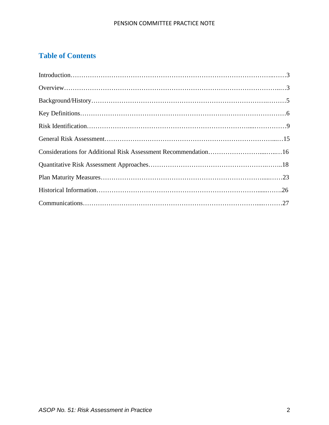### **Table of Contents**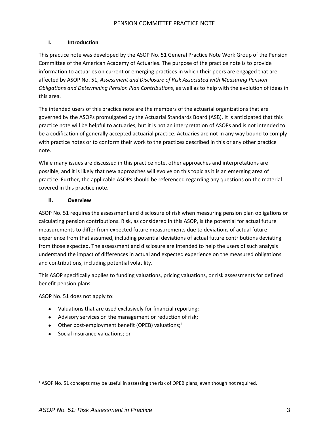#### **I. Introduction**

This practice note was developed by the ASOP No. 51 General Practice Note Work Group of the Pension Committee of the American Academy of Actuaries. The purpose of the practice note is to provide information to actuaries on current or emerging practices in which their peers are engaged that are affected by ASOP No. 51, *Assessment and Disclosure of Risk Associated with Measuring Pension Obligations and Determining Pension Plan Contributions*, as well as to help with the evolution of ideas in this area.

The intended users of this practice note are the members of the actuarial organizations that are governed by the ASOPs promulgated by the Actuarial Standards Board (ASB). It is anticipated that this practice note will be helpful to actuaries, but it is not an interpretation of ASOPs and is not intended to be a codification of generally accepted actuarial practice. Actuaries are not in any way bound to comply with practice notes or to conform their work to the practices described in this or any other practice note.

While many issues are discussed in this practice note, other approaches and interpretations are possible, and it is likely that new approaches will evolve on this topic as it is an emerging area of practice. Further, the applicable ASOPs should be referenced regarding any questions on the material covered in this practice note.

#### **II. Overview**

ASOP No. 51 requires the assessment and disclosure of risk when measuring pension plan obligations or calculating pension contributions. Risk, as considered in this ASOP, is the potential for actual future measurements to differ from expected future measurements due to deviations of actual future experience from that assumed, including potential deviations of actual future contributions deviating from those expected. The assessment and disclosure are intended to help the users of such analysis understand the impact of differences in actual and expected experience on the measured obligations and contributions, including potential volatility.

This ASOP specifically applies to funding valuations, pricing valuations, or risk assessments for defined benefit pension plans.

ASOP No. 51 does not apply to:

- Valuations that are used exclusively for financial reporting;
- Advisory services on the management or reduction of risk;
- Other post-employment benefit (OPEB) valuations;<sup>[1](#page-3-0)</sup>
- Social insurance valuations; or

<span id="page-3-0"></span> $1$  ASOP No. 51 concepts may be useful in assessing the risk of OPEB plans, even though not required.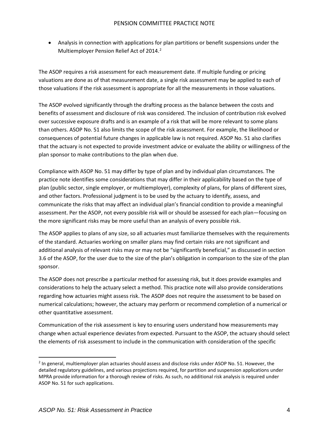• Analysis in connection with applications for plan partitions or benefit suspensions under the Multiemployer Pension Relief Act of 2014. [2](#page-4-0)

The ASOP requires a risk assessment for each measurement date. If multiple funding or pricing valuations are done as of that measurement date, a single risk assessment may be applied to each of those valuations if the risk assessment is appropriate for all the measurements in those valuations.

The ASOP evolved significantly through the drafting process as the balance between the costs and benefits of assessment and disclosure of risk was considered. The inclusion of contribution risk evolved over successive exposure drafts and is an example of a risk that will be more relevant to some plans than others. ASOP No. 51 also limits the scope of the risk assessment. For example, the likelihood or consequences of potential future changes in applicable law is not required. ASOP No. 51 also clarifies that the actuary is not expected to provide investment advice or evaluate the ability or willingness of the plan sponsor to make contributions to the plan when due.

Compliance with ASOP No. 51 may differ by type of plan and by individual plan circumstances. The practice note identifies some considerations that may differ in their applicability based on the type of plan (public sector, single employer, or multiemployer), complexity of plans, for plans of different sizes, and other factors. Professional judgment is to be used by the actuary to identify, assess, and communicate the risks that may affect an individual plan's financial condition to provide a meaningful assessment. Per the ASOP, not every possible risk will or should be assessed for each plan—focusing on the more significant risks may be more useful than an analysis of every possible risk.

The ASOP applies to plans of any size, so all actuaries must familiarize themselves with the requirements of the standard. Actuaries working on smaller plans may find certain risks are not significant and additional analysis of relevant risks may or may not be "significantly beneficial," as discussed in section 3.6 of the ASOP, for the user due to the size of the plan's obligation in comparison to the size of the plan sponsor.

The ASOP does not prescribe a particular method for assessing risk, but it does provide examples and considerations to help the actuary select a method. This practice note will also provide considerations regarding how actuaries might assess risk. The ASOP does not require the assessment to be based on numerical calculations; however, the actuary may perform or recommend completion of a numerical or other quantitative assessment.

Communication of the risk assessment is key to ensuring users understand how measurements may change when actual experience deviates from expected. Pursuant to the ASOP, the actuary should select the elements of risk assessment to include in the communication with consideration of the specific

<span id="page-4-0"></span><sup>&</sup>lt;sup>2</sup> In general, multiemployer plan actuaries should assess and disclose risks under ASOP No. 51. However, the detailed regulatory guidelines, and various projections required, for partition and suspension applications under MPRA provide information for a thorough review of risks. As such, no additional risk analysis is required under ASOP No. 51 for such applications.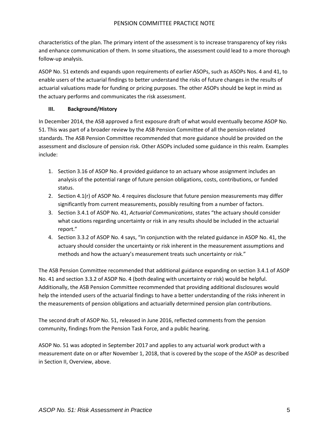characteristics of the plan. The primary intent of the assessment is to increase transparency of key risks and enhance communication of them. In some situations, the assessment could lead to a more thorough follow-up analysis.

ASOP No. 51 extends and expands upon requirements of earlier ASOPs, such as ASOPs Nos. 4 and 41, to enable users of the actuarial findings to better understand the risks of future changes in the results of actuarial valuations made for funding or pricing purposes. The other ASOPs should be kept in mind as the actuary performs and communicates the risk assessment.

#### **III. Background/History**

In December 2014, the ASB approved a first exposure draft of what would eventually become ASOP No. 51. This was part of a broader review by the ASB Pension Committee of all the pension-related standards. The ASB Pension Committee recommended that more guidance should be provided on the assessment and disclosure of pension risk. Other ASOPs included some guidance in this realm. Examples include:

- 1. Section 3.16 of ASOP No. 4 provided guidance to an actuary whose assignment includes an analysis of the potential range of future pension obligations, costs, contributions, or funded status.
- 2. Section 4.1(r) of ASOP No. 4 requires disclosure that future pension measurements may differ significantly from current measurements, possibly resulting from a number of factors.
- 3. Section 3.4.1 of ASOP No. 41, *Actuarial Communications*, states "the actuary should consider what cautions regarding uncertainty or risk in any results should be included in the actuarial report."
- 4. Section 3.3.2 of ASOP No. 4 says, "In conjunction with the related guidance in ASOP No. 41, the actuary should consider the uncertainty or risk inherent in the measurement assumptions and methods and how the actuary's measurement treats such uncertainty or risk."

The ASB Pension Committee recommended that additional guidance expanding on section 3.4.1 of ASOP No. 41 and section 3.3.2 of ASOP No. 4 (both dealing with uncertainty or risk) would be helpful. Additionally, the ASB Pension Committee recommended that providing additional disclosures would help the intended users of the actuarial findings to have a better understanding of the risks inherent in the measurements of pension obligations and actuarially determined pension plan contributions.

The second draft of ASOP No. 51, released in June 2016, reflected comments from the pension community, findings from the Pension Task Force, and a public hearing.

ASOP No. 51 was adopted in September 2017 and applies to any actuarial work product with a measurement date on or after November 1, 2018, that is covered by the scope of the ASOP as described in Section II, Overview, above.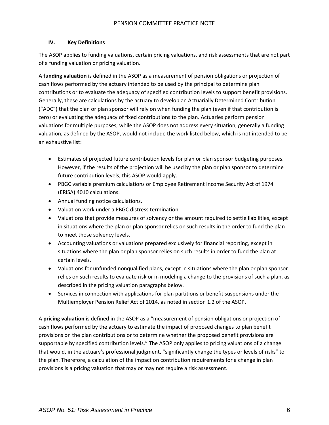#### **IV. Key Definitions**

The ASOP applies to funding valuations, certain pricing valuations, and risk assessments that are not part of a funding valuation or pricing valuation.

A **funding valuation** is defined in the ASOP as a measurement of pension obligations or projection of cash flows performed by the actuary intended to be used by the principal to determine plan contributions or to evaluate the adequacy of specified contribution levels to support benefit provisions. Generally, these are calculations by the actuary to develop an Actuarially Determined Contribution ("ADC") that the plan or plan sponsor will rely on when funding the plan (even if that contribution is zero) or evaluating the adequacy of fixed contributions to the plan. Actuaries perform pension valuations for multiple purposes; while the ASOP does not address every situation, generally a funding valuation, as defined by the ASOP, would not include the work listed below, which is not intended to be an exhaustive list:

- Estimates of projected future contribution levels for plan or plan sponsor budgeting purposes. However, if the results of the projection will be used by the plan or plan sponsor to determine future contribution levels, this ASOP would apply.
- PBGC variable premium calculations or Employee Retirement Income Security Act of 1974 (ERISA) 4010 calculations.
- Annual funding notice calculations.
- Valuation work under a PBGC distress termination.
- Valuations that provide measures of solvency or the amount required to settle liabilities, except in situations where the plan or plan sponsor relies on such results in the order to fund the plan to meet those solvency levels.
- Accounting valuations or valuations prepared exclusively for financial reporting, except in situations where the plan or plan sponsor relies on such results in order to fund the plan at certain levels.
- Valuations for unfunded nonqualified plans, except in situations where the plan or plan sponsor relies on such results to evaluate risk or in modeling a change to the provisions of such a plan, as described in the pricing valuation paragraphs below.
- Services in connection with applications for plan partitions or benefit suspensions under the Multiemployer Pension Relief Act of 2014, as noted in section 1.2 of the ASOP.

A **pricing valuation** is defined in the ASOP as a "measurement of pension obligations or projection of cash flows performed by the actuary to estimate the impact of proposed changes to plan benefit provisions on the plan contributions or to determine whether the proposed benefit provisions are supportable by specified contribution levels." The ASOP only applies to pricing valuations of a change that would, in the actuary's professional judgment, "significantly change the types or levels of risks" to the plan. Therefore, a calculation of the impact on contribution requirements for a change in plan provisions is a pricing valuation that may or may not require a risk assessment.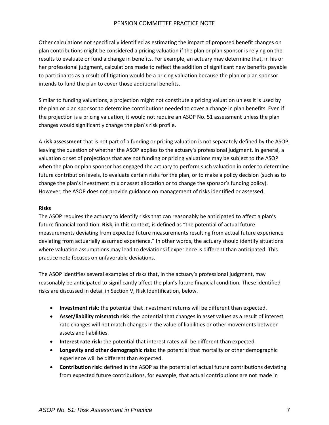Other calculations not specifically identified as estimating the impact of proposed benefit changes on plan contributions might be considered a pricing valuation if the plan or plan sponsor is relying on the results to evaluate or fund a change in benefits. For example, an actuary may determine that, in his or her professional judgment, calculations made to reflect the addition of significant new benefits payable to participants as a result of litigation would be a pricing valuation because the plan or plan sponsor intends to fund the plan to cover those additional benefits.

Similar to funding valuations, a projection might not constitute a pricing valuation unless it is used by the plan or plan sponsor to determine contributions needed to cover a change in plan benefits. Even if the projection is a pricing valuation, it would not require an ASOP No. 51 assessment unless the plan changes would significantly change the plan's risk profile.

A **risk assessment** that is not part of a funding or pricing valuation is not separately defined by the ASOP, leaving the question of whether the ASOP applies to the actuary's professional judgment. In general, a valuation or set of projections that are not funding or pricing valuations may be subject to the ASOP when the plan or plan sponsor has engaged the actuary to perform such valuation in order to determine future contribution levels, to evaluate certain risks for the plan, or to make a policy decision (such as to change the plan's investment mix or asset allocation or to change the sponsor's funding policy). However, the ASOP does not provide guidance on management of risks identified or assessed.

#### **Risks**

The ASOP requires the actuary to identify risks that can reasonably be anticipated to affect a plan's future financial condition. **Risk**, in this context, is defined as "the potential of actual future measurements deviating from expected future measurements resulting from actual future experience deviating from actuarially assumed experience." In other words, the actuary should identify situations where valuation assumptions may lead to deviations if experience is different than anticipated. This practice note focuses on unfavorable deviations.

The ASOP identifies several examples of risks that, in the actuary's professional judgment, may reasonably be anticipated to significantly affect the plan's future financial condition. These identified risks are discussed in detail in Section V, Risk Identification, below.

- **Investment risk**: the potential that investment returns will be different than expected.
- **Asset/liability mismatch risk**: the potential that changes in asset values as a result of interest rate changes will not match changes in the value of liabilities or other movements between assets and liabilities.
- **Interest rate risk:** the potential that interest rates will be different than expected.
- **Longevity and other demographic risks:** the potential that mortality or other demographic experience will be different than expected.
- **Contribution risk:** defined in the ASOP as the potential of actual future contributions deviating from expected future contributions, for example, that actual contributions are not made in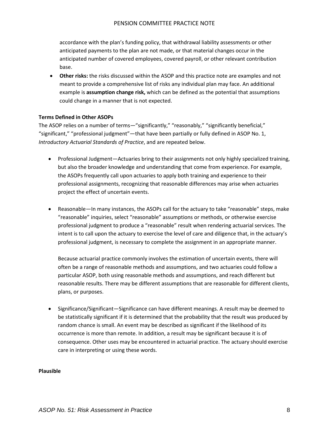accordance with the plan's funding policy, that withdrawal liability assessments or other anticipated payments to the plan are not made, or that material changes occur in the anticipated number of covered employees, covered payroll, or other relevant contribution base.

• **Other risks:** the risks discussed within the ASOP and this practice note are examples and not meant to provide a comprehensive list of risks any individual plan may face. An additional example is **assumption change risk,** which can be defined as the potential that assumptions could change in a manner that is not expected.

#### **Terms Defined in Other ASOPs**

The ASOP relies on a number of terms—"significantly," "reasonably," "significantly beneficial," "significant," "professional judgment"—that have been partially or fully defined in ASOP No. 1, *Introductory Actuarial Standards of Practice*, and are repeated below.

- Professional Judgment—Actuaries bring to their assignments not only highly specialized training, but also the broader knowledge and understanding that come from experience. For example, the ASOPs frequently call upon actuaries to apply both training and experience to their professional assignments, recognizing that reasonable differences may arise when actuaries project the effect of uncertain events.
- Reasonable—In many instances, the ASOPs call for the actuary to take "reasonable" steps, make "reasonable" inquiries, select "reasonable" assumptions or methods, or otherwise exercise professional judgment to produce a "reasonable" result when rendering actuarial services. The intent is to call upon the actuary to exercise the level of care and diligence that, in the actuary's professional judgment, is necessary to complete the assignment in an appropriate manner.

Because actuarial practice commonly involves the estimation of uncertain events, there will often be a range of reasonable methods and assumptions, and two actuaries could follow a particular ASOP, both using reasonable methods and assumptions, and reach different but reasonable results. There may be different assumptions that are reasonable for different clients, plans, or purposes.

• Significance/Significant—Significance can have different meanings. A result may be deemed to be statistically significant if it is determined that the probability that the result was produced by random chance is small. An event may be described as significant if the likelihood of its occurrence is more than remote. In addition, a result may be significant because it is of consequence. Other uses may be encountered in actuarial practice. The actuary should exercise care in interpreting or using these words.

#### **Plausible**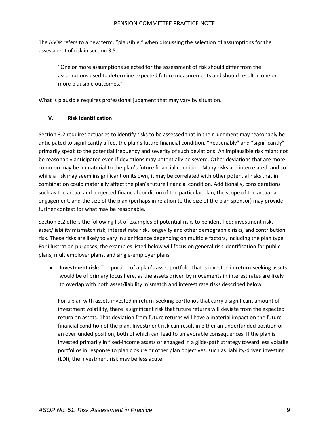The ASOP refers to a new term, "plausible," when discussing the selection of assumptions for the assessment of risk in section 3.5:

"One or more assumptions selected for the assessment of risk should differ from the assumptions used to determine expected future measurements and should result in one or more plausible outcomes."

What is plausible requires professional judgment that may vary by situation.

#### **V. Risk Identification**

Section 3.2 requires actuaries to identify risks to be assessed that in their judgment may reasonably be anticipated to significantly affect the plan's future financial condition. "Reasonably" and "significantly" primarily speak to the potential frequency and severity of such deviations. An implausible risk might not be reasonably anticipated even if deviations may potentially be severe. Other deviations that are more common may be immaterial to the plan's future financial condition. Many risks are interrelated, and so while a risk may seem insignificant on its own, it may be correlated with other potential risks that in combination could materially affect the plan's future financial condition. Additionally, considerations such as the actual and projected financial condition of the particular plan, the scope of the actuarial engagement, and the size of the plan (perhaps in relation to the size of the plan sponsor) may provide further context for what may be reasonable.

Section 3.2 offers the following list of examples of potential risks to be identified: investment risk, asset/liability mismatch risk, interest rate risk, longevity and other demographic risks, and contribution risk. These risks are likely to vary in significance depending on multiple factors, including the plan type. For illustration purposes, the examples listed below will focus on general risk identification for public plans, multiemployer plans, and single-employer plans.

• **Investment risk:** The portion of a plan's asset portfolio that is invested in return-seeking assets would be of primary focus here, as the assets driven by movements in interest rates are likely to overlap with both asset/liability mismatch and interest rate risks described below.

For a plan with assets invested in return-seeking portfolios that carry a significant amount of investment volatility, there is significant risk that future returns will deviate from the expected return on assets. That deviation from future returns will have a material impact on the future financial condition of the plan. Investment risk can result in either an underfunded position or an overfunded position, both of which can lead to unfavorable consequences. If the plan is invested primarily in fixed-income assets or engaged in a glide-path strategy toward less volatile portfolios in response to plan closure or other plan objectives, such as liability-driven investing (LDI), the investment risk may be less acute.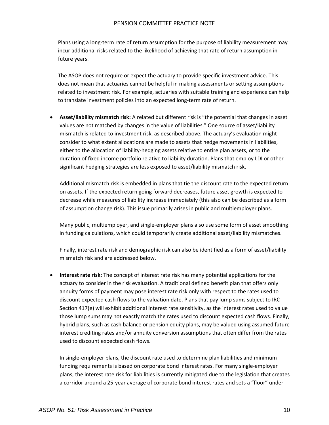Plans using a long-term rate of return assumption for the purpose of liability measurement may incur additional risks related to the likelihood of achieving that rate of return assumption in future years.

The ASOP does not require or expect the actuary to provide specific investment advice. This does not mean that actuaries cannot be helpful in making assessments or setting assumptions related to investment risk. For example, actuaries with suitable training and experience can help to translate investment policies into an expected long-term rate of return.

• **Asset/liability mismatch risk:** A related but different risk is "the potential that changes in asset values are not matched by changes in the value of liabilities." One source of asset/liability mismatch is related to investment risk, as described above. The actuary's evaluation might consider to what extent allocations are made to assets that hedge movements in liabilities, either to the allocation of liability-hedging assets relative to entire plan assets, or to the duration of fixed income portfolio relative to liability duration. Plans that employ LDI or other significant hedging strategies are less exposed to asset/liability mismatch risk.

Additional mismatch risk is embedded in plans that tie the discount rate to the expected return on assets. If the expected return going forward decreases, future asset growth is expected to decrease while measures of liability increase immediately (this also can be described as a form of assumption change risk). This issue primarily arises in public and multiemployer plans.

Many public, multiemployer, and single-employer plans also use some form of asset smoothing in funding calculations, which could temporarily create additional asset/liability mismatches.

Finally, interest rate risk and demographic risk can also be identified as a form of asset/liability mismatch risk and are addressed below.

• **Interest rate risk:** The concept of interest rate risk has many potential applications for the actuary to consider in the risk evaluation. A traditional defined benefit plan that offers only annuity forms of payment may pose interest rate risk only with respect to the rates used to discount expected cash flows to the valuation date. Plans that pay lump sums subject to IRC Section 417(e) will exhibit additional interest rate sensitivity, as the interest rates used to value those lump sums may not exactly match the rates used to discount expected cash flows. Finally, hybrid plans, such as cash balance or pension equity plans, may be valued using assumed future interest crediting rates and/or annuity conversion assumptions that often differ from the rates used to discount expected cash flows.

In single-employer plans, the discount rate used to determine plan liabilities and minimum funding requirements is based on corporate bond interest rates. For many single-employer plans, the interest rate risk for liabilities is currently mitigated due to the legislation that creates a corridor around a 25-year average of corporate bond interest rates and sets a "floor" under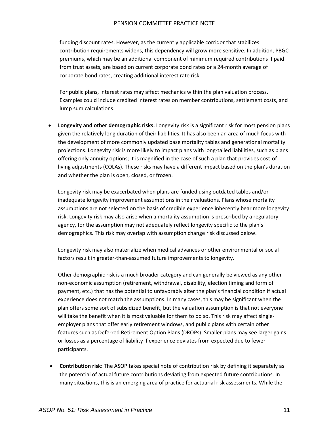funding discount rates. However, as the currently applicable corridor that stabilizes contribution requirements widens, this dependency will grow more sensitive. In addition, PBGC premiums, which may be an additional component of minimum required contributions if paid from trust assets, are based on current corporate bond rates or a 24-month average of corporate bond rates, creating additional interest rate risk.

For public plans, interest rates may affect mechanics within the plan valuation process. Examples could include credited interest rates on member contributions, settlement costs, and lump sum calculations.

• **Longevity and other demographic risks:** Longevity risk is a significant risk for most pension plans given the relatively long duration of their liabilities. It has also been an area of much focus with the development of more commonly updated base mortality tables and generational mortality projections. Longevity risk is more likely to impact plans with long-tailed liabilities, such as plans offering only annuity options; it is magnified in the case of such a plan that provides cost-ofliving adjustments (COLAs). These risks may have a different impact based on the plan's duration and whether the plan is open, closed, or frozen.

Longevity risk may be exacerbated when plans are funded using outdated tables and/or inadequate longevity improvement assumptions in their valuations. Plans whose mortality assumptions are not selected on the basis of credible experience inherently bear more longevity risk. Longevity risk may also arise when a mortality assumption is prescribed by a regulatory agency, for the assumption may not adequately reflect longevity specific to the plan's demographics. This risk may overlap with assumption change risk discussed below.

Longevity risk may also materialize when medical advances or other environmental or social factors result in greater-than-assumed future improvements to longevity.

Other demographic risk is a much broader category and can generally be viewed as any other non-economic assumption (retirement, withdrawal, disability, election timing and form of payment, etc.) that has the potential to unfavorably alter the plan's financial condition if actual experience does not match the assumptions. In many cases, this may be significant when the plan offers some sort of subsidized benefit, but the valuation assumption is that not everyone will take the benefit when it is most valuable for them to do so. This risk may affect singleemployer plans that offer early retirement windows, and public plans with certain other features such as Deferred Retirement Option Plans (DROPs). Smaller plans may see larger gains or losses as a percentage of liability if experience deviates from expected due to fewer participants.

• **Contribution risk:** The ASOP takes special note of contribution risk by defining it separately as the potential of actual future contributions deviating from expected future contributions. In many situations, this is an emerging area of practice for actuarial risk assessments. While the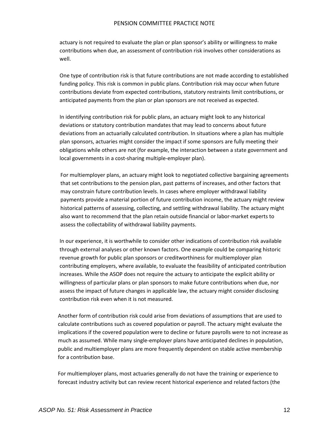actuary is not required to evaluate the plan or plan sponsor's ability or willingness to make contributions when due, an assessment of contribution risk involves other considerations as well.

One type of contribution risk is that future contributions are not made according to established funding policy. This risk is common in public plans. Contribution risk may occur when future contributions deviate from expected contributions, statutory restraints limit contributions, or anticipated payments from the plan or plan sponsors are not received as expected.

In identifying contribution risk for public plans, an actuary might look to any historical deviations or statutory contribution mandates that may lead to concerns about future deviations from an actuarially calculated contribution. In situations where a plan has multiple plan sponsors, actuaries might consider the impact if some sponsors are fully meeting their obligations while others are not (for example, the interaction between a state government and local governments in a cost-sharing multiple-employer plan).

For multiemployer plans, an actuary might look to negotiated collective bargaining agreements that set contributions to the pension plan, past patterns of increases, and other factors that may constrain future contribution levels. In cases where employer withdrawal liability payments provide a material portion of future contribution income, the actuary might review historical patterns of assessing, collecting, and settling withdrawal liability. The actuary might also want to recommend that the plan retain outside financial or labor-market experts to assess the collectability of withdrawal liability payments.

In our experience, it is worthwhile to consider other indications of contribution risk available through external analyses or other known factors. One example could be comparing historic revenue growth for public plan sponsors or creditworthiness for multiemployer plan contributing employers, where available, to evaluate the feasibility of anticipated contribution increases. While the ASOP does not require the actuary to anticipate the explicit ability or willingness of particular plans or plan sponsors to make future contributions when due, nor assess the impact of future changes in applicable law, the actuary might consider disclosing contribution risk even when it is not measured.

Another form of contribution risk could arise from deviations of assumptions that are used to calculate contributions such as covered population or payroll. The actuary might evaluate the implications if the covered population were to decline or future payrolls were to not increase as much as assumed. While many single-employer plans have anticipated declines in population, public and multiemployer plans are more frequently dependent on stable active membership for a contribution base.

For multiemployer plans, most actuaries generally do not have the training or experience to forecast industry activity but can review recent historical experience and related factors (the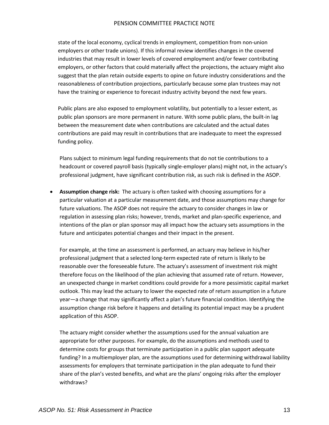state of the local economy, cyclical trends in employment, competition from non-union employers or other trade unions). If this informal review identifies changes in the covered industries that may result in lower levels of covered employment and/or fewer contributing employers, or other factors that could materially affect the projections, the actuary might also suggest that the plan retain outside experts to opine on future industry considerations and the reasonableness of contribution projections, particularly because some plan trustees may not have the training or experience to forecast industry activity beyond the next few years.

Public plans are also exposed to employment volatility, but potentially to a lesser extent, as public plan sponsors are more permanent in nature. With some public plans, the built-in lag between the measurement date when contributions are calculated and the actual dates contributions are paid may result in contributions that are inadequate to meet the expressed funding policy.

Plans subject to minimum legal funding requirements that do not tie contributions to a headcount or covered payroll basis (typically single-employer plans) might not, in the actuary's professional judgment, have significant contribution risk, as such risk is defined in the ASOP.

• **Assumption change risk:** The actuary is often tasked with choosing assumptions for a particular valuation at a particular measurement date, and those assumptions may change for future valuations. The ASOP does not require the actuary to consider changes in law or regulation in assessing plan risks; however, trends, market and plan-specific experience, and intentions of the plan or plan sponsor may all impact how the actuary sets assumptions in the future and anticipates potential changes and their impact in the present.

For example, at the time an assessment is performed, an actuary may believe in his/her professional judgment that a selected long-term expected rate of return is likely to be reasonable over the foreseeable future. The actuary's assessment of investment risk might therefore focus on the likelihood of the plan achieving that assumed rate of return. However, an unexpected change in market conditions could provide for a more pessimistic capital market outlook. This may lead the actuary to lower the expected rate of return assumption in a future year—a change that may significantly affect a plan's future financial condition. Identifying the assumption change risk before it happens and detailing its potential impact may be a prudent application of this ASOP.

The actuary might consider whether the assumptions used for the annual valuation are appropriate for other purposes. For example, do the assumptions and methods used to determine costs for groups that terminate participation in a public plan support adequate funding? In a multiemployer plan, are the assumptions used for determining withdrawal liability assessments for employers that terminate participation in the plan adequate to fund their share of the plan's vested benefits, and what are the plans' ongoing risks after the employer withdraws?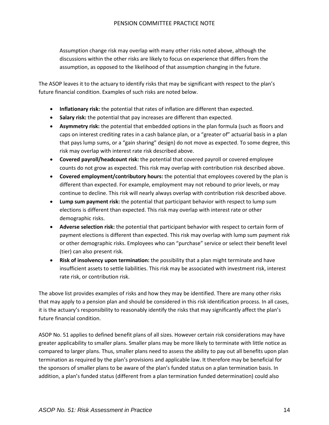Assumption change risk may overlap with many other risks noted above, although the discussions within the other risks are likely to focus on experience that differs from the assumption, as opposed to the likelihood of that assumption changing in the future.

The ASOP leaves it to the actuary to identify risks that may be significant with respect to the plan's future financial condition. Examples of such risks are noted below.

- **Inflationary risk:** the potential that rates of inflation are different than expected.
- **Salary risk:** the potential that pay increases are different than expected.
- **Asymmetry risk:** the potential that embedded options in the plan formula (such as floors and caps on interest crediting rates in a cash balance plan, or a "greater of" actuarial basis in a plan that pays lump sums, or a "gain sharing" design) do not move as expected. To some degree, this risk may overlap with interest rate risk described above.
- **Covered payroll/headcount risk:** the potential that covered payroll or covered employee counts do not grow as expected. This risk may overlap with contribution risk described above.
- **Covered employment/contributory hours:** the potential that employees covered by the plan is different than expected. For example, employment may not rebound to prior levels, or may continue to decline. This risk will nearly always overlap with contribution risk described above.
- **Lump sum payment risk:** the potential that participant behavior with respect to lump sum elections is different than expected. This risk may overlap with interest rate or other demographic risks.
- **Adverse selection risk:** the potential that participant behavior with respect to certain form of payment elections is different than expected. This risk may overlap with lump sum payment risk or other demographic risks. Employees who can "purchase" service or select their benefit level (tier) can also present risk.
- **Risk of insolvency upon termination:** the possibility that a plan might terminate and have insufficient assets to settle liabilities. This risk may be associated with investment risk, interest rate risk, or contribution risk.

The above list provides examples of risks and how they may be identified. There are many other risks that may apply to a pension plan and should be considered in this risk identification process. In all cases, it is the actuary's responsibility to reasonably identify the risks that may significantly affect the plan's future financial condition.

ASOP No. 51 applies to defined benefit plans of all sizes. However certain risk considerations may have greater applicability to smaller plans. Smaller plans may be more likely to terminate with little notice as compared to larger plans. Thus, smaller plans need to assess the ability to pay out all benefits upon plan termination as required by the plan's provisions and applicable law. It therefore may be beneficial for the sponsors of smaller plans to be aware of the plan's funded status on a plan termination basis. In addition, a plan's funded status (different from a plan termination funded determination) could also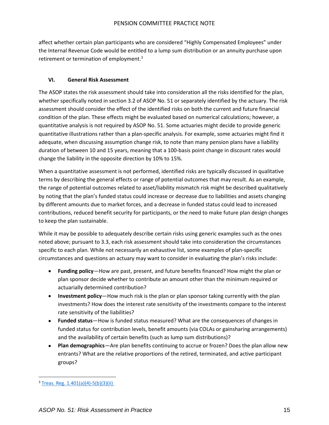affect whether certain plan participants who are considered "Highly Compensated Employees" under the Internal Revenue Code would be entitled to a lump sum distribution or an annuity purchase upon retirement or termination of employment.<sup>[3](#page-15-0)</sup>

#### **VI. General Risk Assessment**

The ASOP states the risk assessment should take into consideration all the risks identified for the plan, whether specifically noted in section 3.2 of ASOP No. 51 or separately identified by the actuary. The risk assessment should consider the effect of the identified risks on both the current and future financial condition of the plan. These effects might be evaluated based on numerical calculations; however, a quantitative analysis is not required by ASOP No. 51. Some actuaries might decide to provide generic quantitative illustrations rather than a plan-specific analysis. For example, some actuaries might find it adequate, when discussing assumption change risk, to note than many pension plans have a liability duration of between 10 and 15 years, meaning that a 100-basis point change in discount rates would change the liability in the opposite direction by 10% to 15%.

When a quantitative assessment is not performed, identified risks are typically discussed in qualitative terms by describing the general effects or range of potential outcomes that may result. As an example, the range of potential outcomes related to asset/liability mismatch risk might be described qualitatively by noting that the plan's funded status could increase or decrease due to liabilities and assets changing by different amounts due to market forces, and a decrease in funded status could lead to increased contributions, reduced benefit security for participants, or the need to make future plan design changes to keep the plan sustainable.

While it may be possible to adequately describe certain risks using generic examples such as the ones noted above; pursuant to 3.3, each risk assessment should take into consideration the circumstances specific to each plan. While not necessarily an exhaustive list, some examples of plan-specific circumstances and questions an actuary may want to consider in evaluating the plan's risks include:

- **Funding policy**—How are past, present, and future benefits financed? How might the plan or plan sponsor decide whether to contribute an amount other than the minimum required or actuarially determined contribution?
- **Investment policy**—How much risk is the plan or plan sponsor taking currently with the plan investments? How does the interest rate sensitivity of the investments compare to the interest rate sensitivity of the liabilities?
- **Funded status**—How is funded status measured? What are the consequences of changes in funded status for contribution levels, benefit amounts (via COLAs or gainsharing arrangements) and the availability of certain benefits (such as lump sum distributions)?
- **Plan demographics**—Are plan benefits continuing to accrue or frozen? Does the plan allow new entrants? What are the relative proportions of the retired, terminated, and active participant groups?

<span id="page-15-0"></span><sup>3</sup> [Treas. Reg. 1.401\(a\)\(4\)-5\(b\)\(3\)\(ii\)](https://www.gpo.gov/fdsys/pkg/CFR-2011-title26-vol5/pdf/CFR-2011-title26-vol5-sec1-401a4-5.pdf)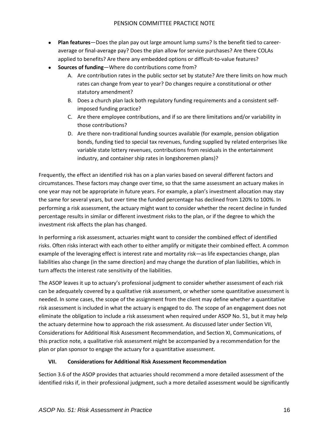- **Plan features**—Does the plan pay out large amount lump sums? Is the benefit tied to careeraverage or final-average pay? Does the plan allow for service purchases? Are there COLAs applied to benefits? Are there any embedded options or difficult-to-value features?
- **Sources of funding**—Where do contributions come from?
	- A. Are contribution rates in the public sector set by statute? Are there limits on how much rates can change from year to year? Do changes require a constitutional or other statutory amendment?
	- B. Does a church plan lack both regulatory funding requirements and a consistent selfimposed funding practice?
	- C. Are there employee contributions, and if so are there limitations and/or variability in those contributions?
	- D. Are there non-traditional funding sources available (for example, pension obligation bonds, funding tied to special tax revenues, funding supplied by related enterprises like variable state lottery revenues, contributions from residuals in the entertainment industry, and container ship rates in longshoremen plans)?

Frequently, the effect an identified risk has on a plan varies based on several different factors and circumstances. These factors may change over time, so that the same assessment an actuary makes in one year may not be appropriate in future years. For example, a plan's investment allocation may stay the same for several years, but over time the funded percentage has declined from 120% to 100%. In performing a risk assessment, the actuary might want to consider whether the recent decline in funded percentage results in similar or different investment risks to the plan, or if the degree to which the investment risk affects the plan has changed.

In performing a risk assessment, actuaries might want to consider the combined effect of identified risks. Often risks interact with each other to either amplify or mitigate their combined effect. A common example of the leveraging effect is interest rate and mortality risk—as life expectancies change, plan liabilities also change (in the same direction) and may change the duration of plan liabilities, which in turn affects the interest rate sensitivity of the liabilities.

The ASOP leaves it up to actuary's professional judgment to consider whether assessment of each risk can be adequately covered by a qualitative risk assessment, or whether some quantitative assessment is needed. In some cases, the scope of the assignment from the client may define whether a quantitative risk assessment is included in what the actuary is engaged to do. The scope of an engagement does not eliminate the obligation to include a risk assessment when required under ASOP No. 51, but it may help the actuary determine how to approach the risk assessment. As discussed later under Section VII, Considerations for Additional Risk Assessment Recommendation, and Section XI, Communications, of this practice note*,* a qualitative risk assessment might be accompanied by a recommendation for the plan or plan sponsor to engage the actuary for a quantitative assessment.

#### **VII. Considerations for Additional Risk Assessment Recommendation**

Section 3.6 of the ASOP provides that actuaries should recommend a more detailed assessment of the identified risks if, in their professional judgment, such a more detailed assessment would be significantly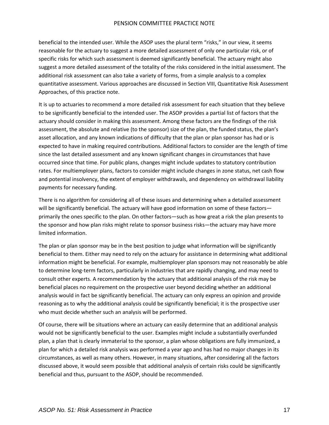beneficial to the intended user. While the ASOP uses the plural term "risks," in our view, it seems reasonable for the actuary to suggest a more detailed assessment of only one particular risk, or of specific risks for which such assessment is deemed significantly beneficial. The actuary might also suggest a more detailed assessment of the totality of the risks considered in the initial assessment. The additional risk assessment can also take a variety of forms, from a simple analysis to a complex quantitative assessment. Various approaches are discussed in Section VIII, Quantitative Risk Assessment Approaches, of this practice note.

It is up to actuaries to recommend a more detailed risk assessment for each situation that they believe to be significantly beneficial to the intended user. The ASOP provides a partial list of factors that the actuary should consider in making this assessment. Among these factors are the findings of the risk assessment, the absolute and relative (to the sponsor) size of the plan, the funded status, the plan's asset allocation, and any known indications of difficulty that the plan or plan sponsor has had or is expected to have in making required contributions. Additional factors to consider are the length of time since the last detailed assessment and any known significant changes in circumstances that have occurred since that time. For public plans, changes might include updates to statutory contribution rates. For multiemployer plans, factors to consider might include changes in zone status, net cash flow and potential insolvency, the extent of employer withdrawals, and dependency on withdrawal liability payments for necessary funding.

There is no algorithm for considering all of these issues and determining when a detailed assessment will be significantly beneficial. The actuary will have good information on some of these factors primarily the ones specific to the plan. On other factors—such as how great a risk the plan presents to the sponsor and how plan risks might relate to sponsor business risks—the actuary may have more limited information.

The plan or plan sponsor may be in the best position to judge what information will be significantly beneficial to them. Either may need to rely on the actuary for assistance in determining what additional information might be beneficial. For example, multiemployer plan sponsors may not reasonably be able to determine long-term factors, particularly in industries that are rapidly changing, and may need to consult other experts. A recommendation by the actuary that additional analysis of the risk may be beneficial places no requirement on the prospective user beyond deciding whether an additional analysis would in fact be significantly beneficial. The actuary can only express an opinion and provide reasoning as to why the additional analysis could be significantly beneficial; it is the prospective user who must decide whether such an analysis will be performed.

Of course, there will be situations where an actuary can easily determine that an additional analysis would not be significantly beneficial to the user. Examples might include a substantially overfunded plan, a plan that is clearly immaterial to the sponsor, a plan whose obligations are fully immunized, a plan for which a detailed risk analysis was performed a year ago and has had no major changes in its circumstances, as well as many others. However, in many situations, after considering all the factors discussed above, it would seem possible that additional analysis of certain risks could be significantly beneficial and thus, pursuant to the ASOP, should be recommended.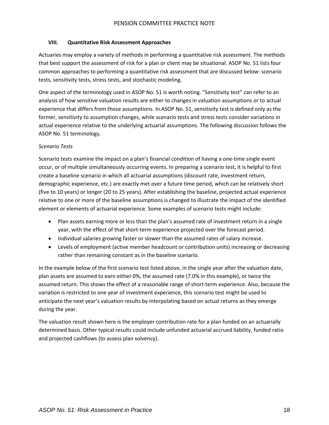#### **VIII. Quantitative Risk Assessment Approaches**

Actuaries may employ a variety of methods in performing a quantitative risk assessment. The methods that best support the assessment of risk for a plan or client may be situational. ASOP No. 51 lists four common approaches to performing a quantitative risk assessment that are discussed below: scenario tests, sensitivity tests, stress tests, and stochastic modeling.

One aspect of the terminology used in ASOP No. 51 is worth noting. "Sensitivity test" can refer to an analysis of how sensitive valuation results are either to changes in valuation assumptions or to actual experience that differs from those assumptions. In ASOP No. 51, sensitivity test is defined only as the former, sensitivity to assumption changes, while scenario tests and stress tests consider variations in actual experience relative to the underlying actuarial assumptions. The following discussion follows the ASOP No. 51 terminology.

#### *Scenario Tests*

Scenario tests examine the impact on a plan's financial condition of having a one-time single event occur, or of multiple simultaneously occurring events. In preparing a scenario test, it is helpful to first create a baseline scenario in which all actuarial assumptions (discount rate, investment return, demographic experience, etc.) are exactly met over a future time period, which can be relatively short (five to 10 years) or longer (20 to 25 years). After establishing the baseline, projected actual experience relative to one or more of the baseline assumptions is changed to illustrate the impact of the identified element or elements of actuarial experience. Some examples of scenario tests might include:

- Plan assets earning more or less than the plan's assumed rate of investment return in a single year, with the effect of that short-term experience projected over the forecast period.
- Individual salaries growing faster or slower than the assumed rates of salary increase.
- Levels of employment (active member headcount or contribution units) increasing or decreasing rather than remaining constant as in the baseline scenario.

In the example below of the first scenario test listed above, in the single year after the valuation date, plan assets are assumed to earn either 0%, the assumed rate (7.0% in this example), or twice the assumed return. This shows the effect of a reasonable range of short-term experience. Also, because the variation is restricted to one year of investment experience, this scenario test might be used to anticipate the next year's valuation results by interpolating based on actual returns as they emerge during the year.

The valuation result shown here is the employer contribution rate for a plan funded on an actuarially determined basis. Other typical results could include unfunded actuarial accrued liability, funded ratio and projected cashflows (to assess plan solvency).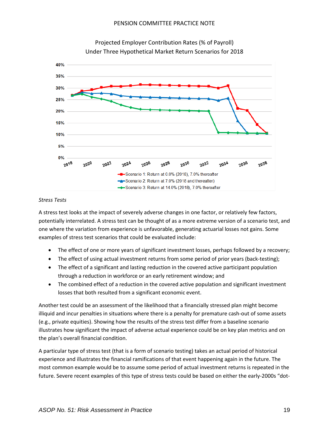

Projected Employer Contribution Rates (% of Payroll) Under Three Hypothetical Market Return Scenarios for 2018

#### *Stress Tests*

A stress test looks at the impact of severely adverse changes in one factor, or relatively few factors, potentially interrelated. A stress test can be thought of as a more extreme version of a scenario test, and one where the variation from experience is unfavorable, generating actuarial losses not gains. Some examples of stress test scenarios that could be evaluated include:

- The effect of one or more years of significant investment losses, perhaps followed by a recovery;
- The effect of using actual investment returns from some period of prior years (back-testing);
- The effect of a significant and lasting reduction in the covered active participant population through a reduction in workforce or an early retirement window; and
- The combined effect of a reduction in the covered active population and significant investment losses that both resulted from a significant economic event.

Another test could be an assessment of the likelihood that a financially stressed plan might become illiquid and incur penalties in situations where there is a penalty for premature cash-out of some assets (e.g., private equities). Showing how the results of the stress test differ from a baseline scenario illustrates how significant the impact of adverse actual experience could be on key plan metrics and on the plan's overall financial condition.

A particular type of stress test (that is a form of scenario testing) takes an actual period of historical experience and illustrates the financial ramifications of that event happening again in the future. The most common example would be to assume some period of actual investment returns is repeated in the future. Severe recent examples of this type of stress tests could be based on either the early-2000s "dot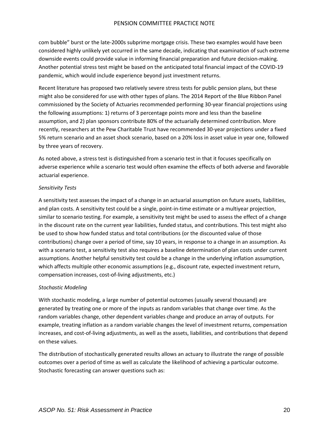com bubble" burst or the late-2000s subprime mortgage crisis. These two examples would have been considered highly unlikely yet occurred in the same decade, indicating that examination of such extreme downside events could provide value in informing financial preparation and future decision-making. Another potential stress test might be based on the anticipated total financial impact of the COVID-19 pandemic, which would include experience beyond just investment returns.

Recent literature has proposed two relatively severe stress tests for public pension plans, but these might also be considered for use with other types of plans. The 2014 Report of the Blue Ribbon Panel commissioned by the Society of Actuaries recommended performing 30-year financial projections using the following assumptions: 1) returns of 3 percentage points more and less than the baseline assumption, and 2) plan sponsors contribute 80% of the actuarially determined contribution. More recently, researchers at the Pew Charitable Trust have recommended 30-year projections under a fixed 5% return scenario and an asset shock scenario, based on a 20% loss in asset value in year one, followed by three years of recovery.

As noted above, a stress test is distinguished from a scenario test in that it focuses specifically on adverse experience while a scenario test would often examine the effects of both adverse and favorable actuarial experience.

#### *Sensitivity Tests*

A sensitivity test assesses the impact of a change in an actuarial assumption on future assets, liabilities, and plan costs. A sensitivity test could be a single, point-in-time estimate or a multiyear projection, similar to scenario testing. For example, a sensitivity test might be used to assess the effect of a change in the discount rate on the current year liabilities, funded status, and contributions. This test might also be used to show how funded status and total contributions (or the discounted value of those contributions) change over a period of time, say 10 years, in response to a change in an assumption. As with a scenario test, a sensitivity test also requires a baseline determination of plan costs under current assumptions. Another helpful sensitivity test could be a change in the underlying inflation assumption, which affects multiple other economic assumptions (e.g., discount rate, expected investment return, compensation increases, cost-of-living adjustments, etc.)

#### *Stochastic Modeling*

With stochastic modeling, a large number of potential outcomes (usually several thousand) are generated by treating one or more of the inputs as random variables that change over time. As the random variables change, other dependent variables change and produce an array of outputs. For example, treating inflation as a random variable changes the level of investment returns, compensation increases, and cost-of-living adjustments, as well as the assets, liabilities, and contributions that depend on these values.

The distribution of stochastically generated results allows an actuary to illustrate the range of possible outcomes over a period of time as well as calculate the likelihood of achieving a particular outcome. Stochastic forecasting can answer questions such as: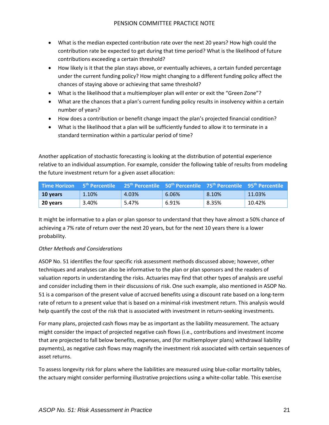- What is the median expected contribution rate over the next 20 years? How high could the contribution rate be expected to get during that time period? What is the likelihood of future contributions exceeding a certain threshold?
- How likely is it that the plan stays above, or eventually achieves, a certain funded percentage under the current funding policy? How might changing to a different funding policy affect the chances of staying above or achieving that same threshold?
- What is the likelihood that a multiemployer plan will enter or exit the "Green Zone"?
- What are the chances that a plan's current funding policy results in insolvency within a certain number of years?
- How does a contribution or benefit change impact the plan's projected financial condition?
- What is the likelihood that a plan will be sufficiently funded to allow it to terminate in a standard termination within a particular period of time?

Another application of stochastic forecasting is looking at the distribution of potential experience relative to an individual assumption. For example, consider the following table of results from modeling the future investment return for a given asset allocation:

|          |          | <b>Time Horizon</b> 5 <sup>th</sup> Percentile 25 <sup>th</sup> Percentile 50 <sup>th</sup> Percentile 75 <sup>th</sup> Percentile 95 <sup>th</sup> Percentile |       |                  |        |
|----------|----------|----------------------------------------------------------------------------------------------------------------------------------------------------------------|-------|------------------|--------|
| 10 vears | $1.10\%$ | 4.03%                                                                                                                                                          | 6.06% | 8.10%            | 11.03% |
| 20 vears | 3.40%    | 5.47%                                                                                                                                                          | 6.91% | $^{\circ}$ 8.35% | 10.42% |

It might be informative to a plan or plan sponsor to understand that they have almost a 50% chance of achieving a 7% rate of return over the next 20 years, but for the next 10 years there is a lower probability.

#### *Other Methods and Considerations*

ASOP No. 51 identifies the four specific risk assessment methods discussed above; however, other techniques and analyses can also be informative to the plan or plan sponsors and the readers of valuation reports in understanding the risks. Actuaries may find that other types of analysis are useful and consider including them in their discussions of risk. One such example, also mentioned in ASOP No. 51 is a comparison of the present value of accrued benefits using a discount rate based on a long-term rate of return to a present value that is based on a minimal-risk investment return. This analysis would help quantify the cost of the risk that is associated with investment in return-seeking investments.

For many plans, projected cash flows may be as important as the liability measurement. The actuary might consider the impact of projected negative cash flows (i.e., contributions and investment income that are projected to fall below benefits, expenses, and (for multiemployer plans) withdrawal liability payments), as negative cash flows may magnify the investment risk associated with certain sequences of asset returns.

To assess longevity risk for plans where the liabilities are measured using blue-collar mortality tables, the actuary might consider performing illustrative projections using a white-collar table. This exercise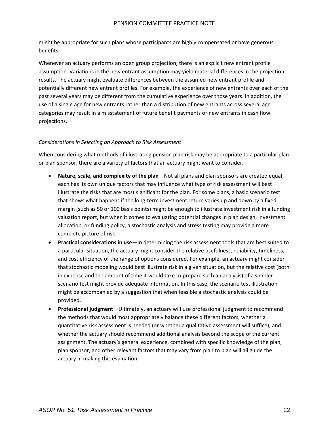might be appropriate for such plans whose participants are highly compensated or have generous benefits.

Whenever an actuary performs an open group projection, there is an explicit new entrant profile assumption. Variations in the new entrant assumption may yield material differences in the projection results. The actuary might evaluate differences between the assumed new entrant profile and potentially different new entrant profiles. For example, the experience of new entrants over each of the past several years may be different from the cumulative experience over those years. In addition, the use of a single age for new entrants rather than a distribution of new entrants across several age categories may result in a misstatement of future benefit payments or new entrants in cash flow projections.

#### *Considerations in Selecting an Approach to Risk Assessment*

When considering what methods of illustrating pension plan risk may be appropriate to a particular plan or plan sponsor, there are a variety of factors that an actuary might want to consider.

- **Nature, scale, and complexity of the plan**—Not all plans and plan sponsors are created equal; each has its own unique factors that may influence what type of risk assessment will best illustrate the risks that are most significant for the plan. For some plans, a basic scenario test that shows what happens if the long-term investment return varies up and down by a fixed margin (such as 50 or 100 basis points) might be enough to illustrate investment risk in a funding valuation report, but when it comes to evaluating potential changes in plan design, investment allocation, or funding policy, a stochastic analysis and stress testing may provide a more complete picture of risk.
- **Practical considerations in use**—In determining the risk assessment tools that are best suited to a particular situation, the actuary might consider the relative usefulness, reliability, timeliness, and cost efficiency of the range of options considered. For example, an actuary might consider that stochastic modeling would best illustrate risk in a given situation, but the relative cost (both in expense and the amount of time it would take to prepare such an analysis) of a simpler scenario test might provide adequate information. In this case, the scenario test illustration might be accompanied by a suggestion that when feasible a stochastic analysis could be provided.
- **Professional judgment**—Ultimately, an actuary will use professional judgment to recommend the methods that would most appropriately balance these different factors, whether a quantitative risk assessment is needed (or whether a qualitative assessment will suffice), and whether the actuary should recommend additional analysis beyond the scope of the current assignment. The actuary's general experience, combined with specific knowledge of the plan, plan sponsor, and other relevant factors that may vary from plan to plan will all guide the actuary in making this evaluation.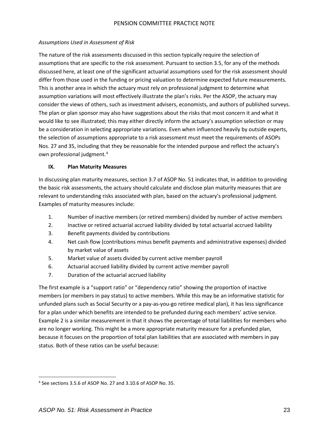#### *Assumptions Used in Assessment of Risk*

The nature of the risk assessments discussed in this section typically require the selection of assumptions that are specific to the risk assessment. Pursuant to section 3.5, for any of the methods discussed here, at least one of the significant actuarial assumptions used for the risk assessment should differ from those used in the funding or pricing valuation to determine expected future measurements. This is another area in which the actuary must rely on professional judgment to determine what assumption variations will most effectively illustrate the plan's risks. Per the ASOP, the actuary may consider the views of others, such as investment advisers, economists, and authors of published surveys. The plan or plan sponsor may also have suggestions about the risks that most concern it and what it would like to see illustrated; this may either directly inform the actuary's assumption selection or may be a consideration in selecting appropriate variations. Even when influenced heavily by outside experts, the selection of assumptions appropriate to a risk assessment must meet the requirements of ASOPs Nos. 27 and 35, including that they be reasonable for the intended purpose and reflect the actuary's own professional judgment.<sup>[4](#page-23-0)</sup>

#### **IX. Plan Maturity Measures**

In discussing plan maturity measures, section 3.7 of ASOP No. 51 indicates that, in addition to providing the basic risk assessments, the actuary should calculate and disclose plan maturity measures that are relevant to understanding risks associated with plan, based on the actuary's professional judgment. Examples of maturity measures include:

- 1. Number of inactive members (or retired members) divided by number of active members
- 2. Inactive or retired actuarial accrued liability divided by total actuarial accrued liability
- 3. Benefit payments divided by contributions
- 4. Net cash flow (contributions minus benefit payments and administrative expenses) divided by market value of assets
- 5. Market value of assets divided by current active member payroll
- 6. Actuarial accrued liability divided by current active member payroll
- 7. Duration of the actuarial accrued liability

The first example is a "support ratio" or "dependency ratio" showing the proportion of inactive members (or members in pay status) to active members. While this may be an informative statistic for unfunded plans such as Social Security or a pay-as-you-go retiree medical plan), it has less significance for a plan under which benefits are intended to be prefunded during each members' active service. Example 2 is a similar measurement in that it shows the percentage of total liabilities for members who are no longer working. This might be a more appropriate maturity measure for a prefunded plan, because it focuses on the proportion of total plan liabilities that are associated with members in pay status. Both of these ratios can be useful because:

<span id="page-23-0"></span><sup>4</sup> See sections 3.5.6 of ASOP No. 27 and 3.10.6 of ASOP No. 35.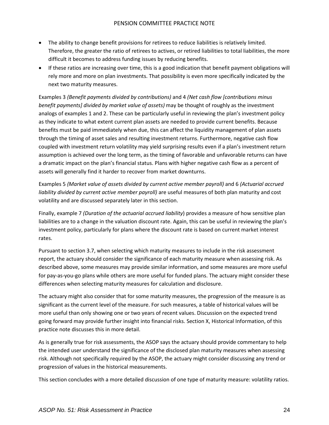- The ability to change benefit provisions for retirees to reduce liabilities is relatively limited. Therefore, the greater the ratio of retirees to actives, or retired liabilities to total liabilities, the more difficult it becomes to address funding issues by reducing benefits.
- If these ratios are increasing over time, this is a good indication that benefit payment obligations will rely more and more on plan investments. That possibility is even more specifically indicated by the next two maturity measures.

Examples 3 *(Benefit payments divided by contributions)* and 4 *(Net cash flow [contributions minus benefit payments] divided by market value of assets)* may be thought of roughly as the investment analogs of examples 1 and 2. These can be particularly useful in reviewing the plan's investment policy as they indicate to what extent current plan assets are needed to provide current benefits. Because benefits must be paid immediately when due, this can affect the liquidity management of plan assets through the timing of asset sales and resulting investment returns. Furthermore, negative cash flow coupled with investment return volatility may yield surprising results even if a plan's investment return assumption is achieved over the long term, as the timing of favorable and unfavorable returns can have a dramatic impact on the plan's financial status. Plans with higher negative cash flow as a percent of assets will generally find it harder to recover from market downturns.

Examples 5 *(Market value of assets divided by current active member payroll)* and 6 *(Actuarial accrued liability divided by current active member payroll)* are useful measures of both plan maturity and cost volatility and are discussed separately later in this section.

Finally, example 7 *(Duration of the actuarial accrued liability*) provides a measure of how sensitive plan liabilities are to a change in the valuation discount rate. Again, this can be useful in reviewing the plan's investment policy, particularly for plans where the discount rate is based on current market interest rates.

Pursuant to section 3.7, when selecting which maturity measures to include in the risk assessment report, the actuary should consider the significance of each maturity measure when assessing risk. As described above, some measures may provide similar information, and some measures are more useful for pay-as-you-go plans while others are more useful for funded plans. The actuary might consider these differences when selecting maturity measures for calculation and disclosure.

The actuary might also consider that for some maturity measures, the progression of the measure is as significant as the current level of the measure. For such measures, a table of historical values will be more useful than only showing one or two years of recent values. Discussion on the expected trend going forward may provide further insight into financial risks. Section X, Historical Information, of this practice note discusses this in more detail.

As is generally true for risk assessments, the ASOP says the actuary should provide commentary to help the intended user understand the significance of the disclosed plan maturity measures when assessing risk. Although not specifically required by the ASOP, the actuary might consider discussing any trend or progression of values in the historical measurements.

This section concludes with a more detailed discussion of one type of maturity measure: volatility ratios.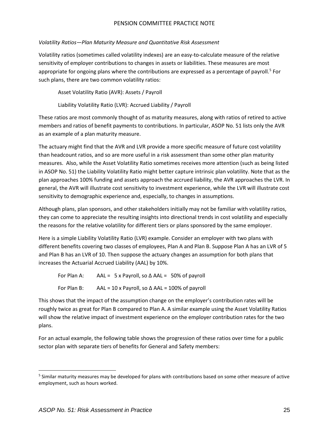#### *Volatility Ratios—Plan Maturity Measure and Quantitative Risk Assessment*

Volatility ratios (sometimes called volatility indexes) are an easy-to-calculate measure of the relative sensitivity of employer contributions to changes in assets or liabilities. These measures are most appropriate for ongoing plans where the contributions are expressed as a percentage of payroll.<sup>[5](#page-25-0)</sup> For such plans, there are two common volatility ratios:

Asset Volatility Ratio (AVR): Assets / Payroll

Liability Volatility Ratio (LVR): Accrued Liability / Payroll

These ratios are most commonly thought of as maturity measures, along with ratios of retired to active members and ratios of benefit payments to contributions. In particular, ASOP No. 51 lists only the AVR as an example of a plan maturity measure.

The actuary might find that the AVR and LVR provide a more specific measure of future cost volatility than headcount ratios, and so are more useful in a risk assessment than some other plan maturity measures. Also, while the Asset Volatility Ratio sometimes receives more attention (such as being listed in ASOP No. 51) the Liability Volatility Ratio might better capture intrinsic plan volatility. Note that as the plan approaches 100% funding and assets approach the accrued liability, the AVR approaches the LVR. In general, the AVR will illustrate cost sensitivity to investment experience, while the LVR will illustrate cost sensitivity to demographic experience and, especially, to changes in assumptions.

Although plans, plan sponsors, and other stakeholders initially may not be familiar with volatility ratios, they can come to appreciate the resulting insights into directional trends in cost volatility and especially the reasons for the relative volatility for different tiers or plans sponsored by the same employer.

Here is a simple Liability Volatility Ratio (LVR) example. Consider an employer with two plans with different benefits covering two classes of employees, Plan A and Plan B. Suppose Plan A has an LVR of 5 and Plan B has an LVR of 10. Then suppose the actuary changes an assumption for both plans that increases the Actuarial Accrued Liability (AAL) by 10%.

For Plan A: AAL = 5 x Payroll, so  $\triangle$  AAL = 50% of payroll For Plan B: AAL = 10 x Payroll, so  $\triangle$  AAL = 100% of payroll

This shows that the impact of the assumption change on the employer's contribution rates will be roughly twice as great for Plan B compared to Plan A. A similar example using the Asset Volatility Ratios will show the relative impact of investment experience on the employer contribution rates for the two plans.

For an actual example, the following table shows the progression of these ratios over time for a public sector plan with separate tiers of benefits for General and Safety members:

<span id="page-25-0"></span><sup>&</sup>lt;sup>5</sup> Similar maturity measures may be developed for plans with contributions based on some other measure of active employment, such as hours worked.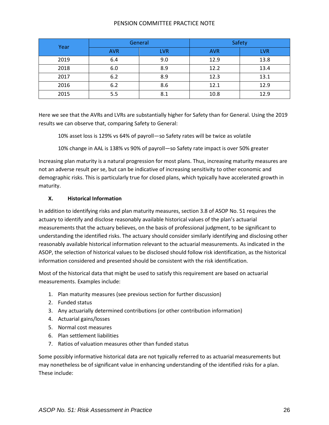| Year | General    |            | Safety     |            |
|------|------------|------------|------------|------------|
|      | <b>AVR</b> | <b>LVR</b> | <b>AVR</b> | <b>LVR</b> |
| 2019 | 6.4        | 9.0        | 12.9       | 13.8       |
| 2018 | 6.0        | 8.9        | 12.2       | 13.4       |
| 2017 | 6.2        | 8.9        | 12.3       | 13.1       |
| 2016 | 6.2        | 8.6        | 12.1       | 12.9       |
| 2015 | 5.5        | 8.1        | 10.8       | 12.9       |

Here we see that the AVRs and LVRs are substantially higher for Safety than for General. Using the 2019 results we can observe that, comparing Safety to General:

10% asset loss is 129% vs 64% of payroll—so Safety rates will be twice as volatile

10% change in AAL is 138% vs 90% of payroll—so Safety rate impact is over 50% greater

Increasing plan maturity is a natural progression for most plans. Thus, increasing maturity measures are not an adverse result per se, but can be indicative of increasing sensitivity to other economic and demographic risks. This is particularly true for closed plans, which typically have accelerated growth in maturity.

#### **X. Historical Information**

In addition to identifying risks and plan maturity measures, section 3.8 of ASOP No. 51 requires the actuary to identify and disclose reasonably available historical values of the plan's actuarial measurements that the actuary believes, on the basis of professional judgment, to be significant to understanding the identified risks. The actuary should consider similarly identifying and disclosing other reasonably available historical information relevant to the actuarial measurements. As indicated in the ASOP, the selection of historical values to be disclosed should follow risk identification, as the historical information considered and presented should be consistent with the risk identification.

Most of the historical data that might be used to satisfy this requirement are based on actuarial measurements. Examples include:

- 1. Plan maturity measures (see previous section for further discussion)
- 2. Funded status
- 3. Any actuarially determined contributions (or other contribution information)
- 4. Actuarial gains/losses
- 5. Normal cost measures
- 6. Plan settlement liabilities
- 7. Ratios of valuation measures other than funded status

Some possibly informative historical data are not typically referred to as actuarial measurements but may nonetheless be of significant value in enhancing understanding of the identified risks for a plan. These include: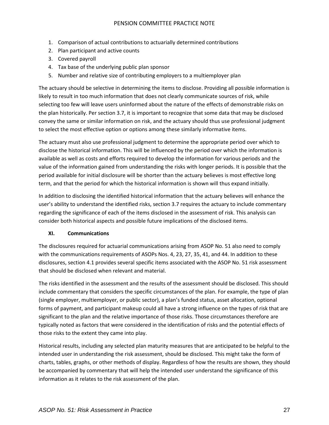- 1. Comparison of actual contributions to actuarially determined contributions
- 2. Plan participant and active counts
- 3. Covered payroll
- 4. Tax base of the underlying public plan sponsor
- 5. Number and relative size of contributing employers to a multiemployer plan

The actuary should be selective in determining the items to disclose. Providing all possible information is likely to result in too much information that does not clearly communicate sources of risk, while selecting too few will leave users uninformed about the nature of the effects of demonstrable risks on the plan historically. Per section 3.7, it is important to recognize that some data that may be disclosed convey the same or similar information on risk, and the actuary should thus use professional judgment to select the most effective option or options among these similarly informative items.

The actuary must also use professional judgment to determine the appropriate period over which to disclose the historical information. This will be influenced by the period over which the information is available as well as costs and efforts required to develop the information for various periods and the value of the information gained from understanding the risks with longer periods. It is possible that the period available for initial disclosure will be shorter than the actuary believes is most effective long term, and that the period for which the historical information is shown will thus expand initially.

In addition to disclosing the identified historical information that the actuary believes will enhance the user's ability to understand the identified risks, section 3.7 requires the actuary to include commentary regarding the significance of each of the items disclosed in the assessment of risk. This analysis can consider both historical aspects and possible future implications of the disclosed items.

#### **XI. Communications**

The disclosures required for actuarial communications arising from ASOP No. 51 also need to comply with the communications requirements of ASOPs Nos. 4, 23, 27, 35, 41, and 44. In addition to these disclosures, section 4.1 provides several specific items associated with the ASOP No. 51 risk assessment that should be disclosed when relevant and material.

The risks identified in the assessment and the results of the assessment should be disclosed. This should include commentary that considers the specific circumstances of the plan. For example, the type of plan (single employer, multiemployer, or public sector), a plan's funded status, asset allocation, optional forms of payment, and participant makeup could all have a strong influence on the types of risk that are significant to the plan and the relative importance of those risks. Those circumstances therefore are typically noted as factors that were considered in the identification of risks and the potential effects of those risks to the extent they came into play.

Historical results, including any selected plan maturity measures that are anticipated to be helpful to the intended user in understanding the risk assessment, should be disclosed. This might take the form of charts, tables, graphs, or other methods of display. Regardless of how the results are shown, they should be accompanied by commentary that will help the intended user understand the significance of this information as it relates to the risk assessment of the plan.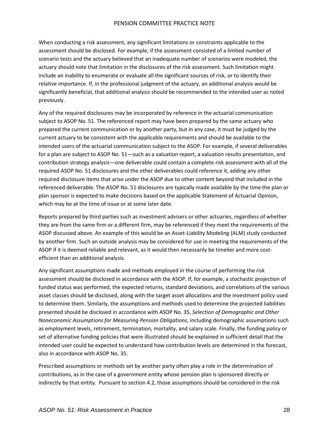When conducting a risk assessment, any significant limitations or constraints applicable to the assessment should be disclosed. For example, if the assessment consisted of a limited number of scenario tests and the actuary believed that an inadequate number of scenarios were modeled, the actuary should note that limitation in the disclosures of the risk assessment. Such limitation might include an inability to enumerate or evaluate all the significant sources of risk, or to identify their relative importance. If, in the professional judgment of the actuary, an additional analysis would be significantly beneficial, that additional analysis should be recommended to the intended user as noted previously.

Any of the required disclosures may be incorporated by reference in the actuarial communication subject to ASOP No. 51. The referenced report may have been prepared by the same actuary who prepared the current communication or by another party, but in any case, it must be judged by the current actuary to be consistent with the applicable requirements and should be available to the intended users of the actuarial communication subject to the ASOP. For example, if several deliverables for a plan are subject to ASOP No. 51—such as a valuation report, a valuation results presentation, and contribution strategy analysis—one deliverable could contain a complete risk assessment with all of the required ASOP No. 51 disclosures and the other deliverables could reference it, adding any other required disclosure items that arise under the ASOP due to other content beyond that included in the referenced deliverable. The ASOP No. 51 disclosures are typically made available by the time the plan or plan sponsor is expected to make decisions based on the applicable Statement of Actuarial Opinion, which may be at the time of issue or at some later date.

Reports prepared by third parties such as investment advisers or other actuaries, regardless of whether they are from the same firm or a different firm, may be referenced if they meet the requirements of the ASOP discussed above. An example of this would be an Asset-Liability Modeling (ALM) study conducted by another firm. Such an outside analysis may be considered for use in meeting the requirements of the ASOP if it is deemed reliable and relevant, as it would then necessarily be timelier and more costefficient than an additional analysis.

Any significant assumptions made and methods employed in the course of performing the risk assessment should be disclosed in accordance with the ASOP. If, for example, a stochastic projection of funded status was performed, the expected returns, standard deviations, and correlations of the various asset classes should be disclosed, along with the target asset allocations and the investment policy used to determine them. Similarly, the assumptions and methods used to determine the projected liabilities presented should be disclosed in accordance with ASOP No. 35, *Selection of Demographic and Other Noneconomic Assumptions for Measuring Pension Obligations*, including demographic assumptions such as employment levels, retirement, termination, mortality, and salary scale. Finally, the funding policy or set of alternative funding policies that were illustrated should be explained in sufficient detail that the intended user could be expected to understand how contribution levels are determined in the forecast, also in accordance with ASOP No. 35.

Prescribed assumptions or methods set by another party often play a role in the determination of contributions, as in the case of a government entity whose pension plan is sponsored directly or indirectly by that entity. Pursuant to section 4.2, those assumptions should be considered in the risk